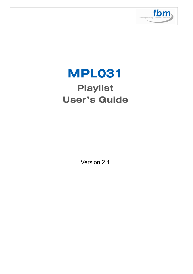

# **MPL031 Playlist User's Guide**

Version 2.1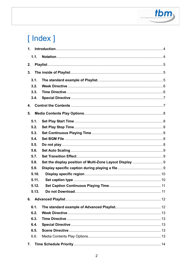

# [Index]

| 1.    |                  |    |
|-------|------------------|----|
| 1.1.  |                  |    |
| 2.    |                  |    |
| 3.    |                  |    |
|       |                  |    |
| 3.1.  |                  |    |
| 3.2.  |                  |    |
| 3.3.  |                  |    |
| 3.4.  |                  |    |
| 4.    |                  |    |
| 5.    |                  |    |
| 5.1.  |                  |    |
| 5.2.  |                  |    |
| 5.3.  |                  |    |
| 5.4.  |                  |    |
| 5.5.  |                  |    |
| 5.6.  |                  |    |
| 5.7.  |                  |    |
| 5.8.  |                  |    |
| 5.9.  |                  |    |
| 5.10. |                  |    |
| 5.11. |                  |    |
| 5.12. |                  |    |
| 5.13. | Do not Download. | 11 |
|       |                  |    |
| 6.1.  |                  |    |
| 6.2.  |                  |    |
| 6.3.  |                  |    |
| 6.4.  |                  |    |
| 6.5.  |                  |    |
| 6.6.  |                  |    |
| 7.    |                  |    |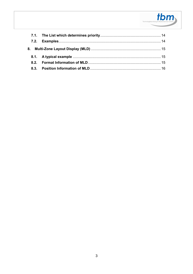

| 8.2. |  |
|------|--|
|      |  |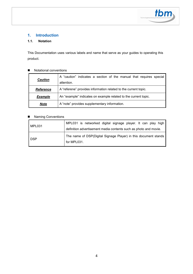

#### **1. Introduction**

#### **1.1. Notation**

This Documentation uses various labels and name that serve as your guides to operating this product.

#### Notational conventions

|                                                             | A "caution" indicates a section of the manual that requires special |  |  |
|-------------------------------------------------------------|---------------------------------------------------------------------|--|--|
| <b>Caution</b>                                              | attention.                                                          |  |  |
| <b>Reference</b>                                            | A "referene" provides information related to the current topic.     |  |  |
| <b>Example</b>                                              | An "example" indicates on example related to the current topic.     |  |  |
| A "note" provides supplementary information.<br><b>Note</b> |                                                                     |  |  |

#### ■ Naming Conventions

| MPL031 | MPL031 is networked digital signage player. It can play high<br>definition advertisement media contents such as photo and movie. |  |  |  |
|--------|----------------------------------------------------------------------------------------------------------------------------------|--|--|--|
| DSP    | The name of DSP(Digital Signage Player) in this document stands<br>for MPL031.                                                   |  |  |  |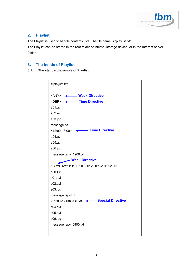

#### **2. Playlist**

The Playlist is used to handle contents lists. The file name is "playlist.txt".

The Playlist can be stored in the root folder of internal storage device, or in the Internet server folder.

#### **3. The inside of Playlist**

**3.1. The standard example of Playlist.** 

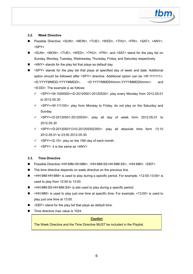

#### **3.2. Week Directive**

- Possible Directive: <SUN>, <MON>, <TUE>, <WED>, <THU>, <FRI>, <SAT>, <ANY>, <SPY>
- <SUN>, <MON>, <TUE>, <WED>, <THU>, <FRI>, and <SAT> stand for the play list on Sunday, Monday, Tuesday, Wednesday, Thursday, Friday, and Saturday respectively.
- <ANY> stands for the play list that plays as default day.
- <SPY> stands for the play list that plays at specified day of week and date. Additional option should be followed after <SPY> directive. Additional option can be <W:1111111>, <D:YYYYMMDD-YYYYMMDD>, <D:YYYYMMDDhhmm-YYYYMMDDhhmm> and <S:DD>. The example is as follows
	- <SPY><W:1000000><D:20120501-20120530>: play every Monday from 2012.05.01 to 2012.05.30
	- <SPY><W:111100>: play from Monday to Friday. do not play on the Saturday and Sunday.
	- <SPY><D:20120501-20120530>: play all day of week form 2012.05.01 to 2012.05.30
	- <SPY><D:201205011310-201205302350>: play all absolute time form 13:10 2012.05.01 to 23:50 2012.05.30.
	- $\checkmark$  <SPY><S:15>: play on the 15th day of each month.
	- $\checkmark$  <SPY>: it is the same as <ANY>

#### **3.3. Time Directive**

- Possible Directive:<HH:MM-HH:MM>, <HH:MM:SS-HH:MM:SS>, <HH:MM>, <DEF>
- The time directive depends on week directive on the previous line.
- <HH:MM-HH:MM> is used to play during a specific period. For example, <12:00-13:00> is used to play from 12:00 to 13:00.
- <HH:MM:SS-HH:MM:SS> is alst used to play during a specific period.
- <HH:MM> is used to play just one time at specific time. For example, <13:00> is used to play just one time at 13:00.
- <DEF> stand for the play list that plays as default time.
- Time directive max value is 1024.

*Caution* 

The Week Directive and the Time Directive MUST be included in the Playlist.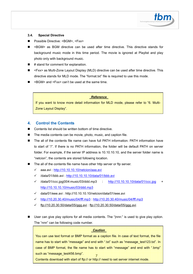

#### **3.4. Special Directive**

- Possible Directive: <BGM>, <Fxx>
- <BGM> as BGM directive can be used after time directive. This directive stands for background music mode in this time period. The movie is ignored at Playlist and play photo only with background music.
- # stand for comment for explanation.
- <Fxx> as Multi-Zone Layout Display (MLD) directive can be used after time directive. This directive stands for MLD mode. The "format.txt" file is required to use this mode.
- <BGM> and <Fxx> can't be used at the same time.

#### *Reference*

If you want to know more detail information for MLD mode, please refer to "6. Multi-Zone Layout Display".

#### **4. Control the Contents**

- Contents list should be written bottom of time directive.
- The media contents can be movie, photo, music, and caption file.
- The all of the contents file name can have full PATH information. PATH information have to start of "/". If there is no PATH information, the folder will be default PATH on server folder. For example, if the server IP address is 10.10.10.10, and the server folder name is "netcion", the contents are stored following location.
- The all of the contents file name have other http server or ftp server.
	- aaa.avi : http://10.10.10.10/netcion/aaa.avi
	- /data/01/bbb.avi : http://10.10.10.10/data/01/bbb.avi
	- √ /data/01/ccc.jpg|004:music/03/ddd.mp3 : http://10.10.10.10/data/01/ccc.jpg + http://10.10.10.10/music/03/ddd.mp3
	- data/01/eee.avi : http://10.10.10.10/netcion/data/01/eee.avi
	- $\checkmark$ http://10.20.30.40/music/04/fff.mp3 : http://10.20.30.40/music/04/fff.mp3
	- ftp://10.20.30.50/data/05/ggg.avi : ftp://10.20.30.50/data/05/ggg.avi
- User can give play options for all media contents. The "|nnn:" is used to give play option. The "nnn" can be following code number.

| <b>Caution</b>                                                                            |
|-------------------------------------------------------------------------------------------|
| You can use text format or BMP format as a caption file. In case of text format, the file |
| name has to start with "message" and end with ".txt" such as "message test123.txt". In    |
| case of BMP format, the file name has to start with "message" and end with ".bmp"         |
| such as "message test456.bmp".                                                            |
| Contents download with start of ftp:// or http:// need to set server internet mode.       |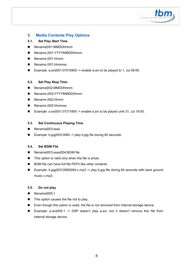

#### **5. Media Contents Play Options**

#### **5.1. Set Play Start Time**

- filename|001:MMDDhhmm
- filename |001:YYYYMMDDhhmm
- filename |001:hhmm
- filename |001:hhmmss
- Example: a.avi|001:07010900 -> enable a.avi to be played to 1, Jul 09:00.

#### **5.2. Set Play Stop Time**

- filename|002:MMDDhhmm
- filename |002:YYYYMMDDhhmm
- filename |002:hhmm
- filename |002:hhmmss
- Example: a.avi|001:07311800 -> enable a.avi to be played until 31, Jul 18:00.

#### **5.3. Set Continuous Playing Time**

- filename|003:ssss
- Example: b.jpg|003:0060 -> play b.jpg file during 60 seconds.

#### **5.4. Set BGM File**

- filenamel003:ssssl004:BGM file
- $\blacksquare$  This option is valid only when the file is photo.
- BGM file can have full file PATH like other contents.
- Example: b.jpg|003:0060|004:c.mp3 -> play b.jpg file during 60 seconds with back ground music c.mp3.

#### **5.5. Do not play**

- $\blacksquare$  filename $|005:1$
- This option causes the file not to play.
- Even though this option is used, the file is not removed from internal storage device.
- Example: a.avi|005:1 -> DSP doesn't play a.avi, but it doesn't remove this file from internal storage device.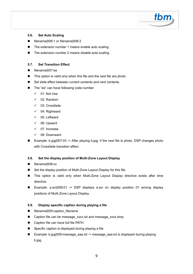

#### **5.6. Set Auto Scaling**

- filename|006:1 or filename|006:2
- The extension number 1 means enable auto scaling.
- The extension number 2 means disable auto scaling.

#### **5.7. Set Transition Effect**

- filenamel007:ee
- This option is valid only when this file and the next file are photo.
- Set slide effect between current contents and next contents.
- The "ee" can have following code number
	- $\checkmark$  01: Not Use
	- $\checkmark$ 02: Random
	- 03: Crossfade
	- 04: Rightward
	- $\checkmark$  05: Leftward
	- $\checkmark$  06: Upward
	- 07: Increase
	- $\checkmark$ 08: Downward
- Example: b.jpg|007:03 -> After playing b.jpg, if the next file is photo, DSP changes photo with Crossfade transition effect.

#### **5.8. Set the display position of Multi-Zone Layout Display**

- filename|008:xx
- Set the display position of Multi-Zone Layout Display for this file.
- This option is valid only when Multi-Zone Layout Display directive exists after time directive.
- Example: a.avi|008:01 -> DSP displays a.avi on display position 01 among display positions of Multi-Zone Layout Display.

#### **5.9. Display specific caption during playing a file**

- filename|009:caption\_filename
- Caption file can be message\_xxxx.txt and message\_xxxx.bmp.
- Caption file can have full file PATH.
- Specific caption is displayed during playing a file.
- Example: b.jpg|009:message\_aaa.txt -> message\_aaa.txt is displayed during playing b.jpg.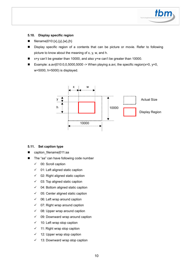#### **5.10. Display specific region**

- filename|010:{x},{y},{w},{h}
- Display specific region of a contents that can be picture or movie. Refer to following picture to know about the meaning of x, y, w, and h.
- x+y can't be greater than 10000, and also y+w can't be greater than 10000.
- Example: a.avi $|010:0,0,5000,5000\rightarrow\text{When playing a.avi, the specific region}(x=0, y=0,$ w=5000, h=5000) is displayed.



#### **5.11. Set caption type**

- caption\_filename|011:aa
- The "aa" can have following code number
	- $\checkmark$ 00: Scroll caption
	- $\checkmark$ 01: Left aligned static caption
	- $\checkmark$ 02: Right aligned static caption
	- $\checkmark$ 03: Top aligned static caption
	- $\checkmark$ 04: Bottom aligned static caption
	- $\checkmark$ 05: Center aligned static caption
	- $\checkmark$ 06: Left wrap around caption
	- $\checkmark$ 07: Right wrap around caption
	- $\checkmark$ 08: Upper wrap around caption
	- $\checkmark$ 09: Downward wrap around caption
	- $\checkmark$ 10: Left wrap stop caption
	- $\checkmark$ 11: Right wrap stop caption
	- $\checkmark$  12: Upper wrap stop caption
	- $\checkmark$ 13: Downward wrap stop caption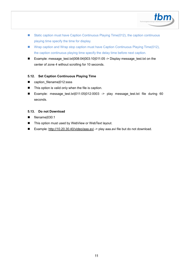

- Static caption must have Caption Continuous Playing Time(012), the caption continuous playing time specify the time for display.
- Wrap caption and Wrap stop caption must have Caption Continuous Playing Time(012), the caption continuous playing time specify the delay time before next caption.
- Example: message\_test.txt|008:04|003:10|011:05 -> Display message\_test.txt on the center of zone 4 without scrolling for 10 seconds.

#### **5.12. Set Caption Continuous Playing Time**

- caption filename|012:ssss
- This option is valid only when the file is caption.
- Example: message\_test.txt|011:05|012:0003 -> play message\_test.txt file during 60 seconds.

#### **5.13. Do not Download**

- filename|030:1
- This option must used by WebView or WebText layout.
- Example: http://10.20.30.40/video/aaa.avi -> play aaa.avi file but do not download.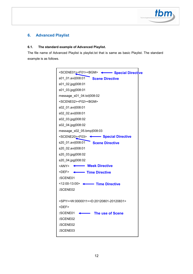

### **6. Advanced Playlist**

#### **6.1. The standard example of Advanced Playlist.**

The file name of Advanced Playlist is playlist.txt that is same as basic Playlist. The standard example is as follows.

| <scene01><f01><bgm>&lt;-&gt;&gt;&gt;&gt;&gt;&gt;&gt;<special directive<="" th=""><th></th></special></bgm></f01></scene01>         |  |
|------------------------------------------------------------------------------------------------------------------------------------|--|
| s01_01.avi 008:01 Scene Directive                                                                                                  |  |
| s01_02.jpg 008:01                                                                                                                  |  |
| s01_03.jpg 008:01                                                                                                                  |  |
| message_s01_04.txt 008:02                                                                                                          |  |
| <scene02><f02><bgm></bgm></f02></scene02>                                                                                          |  |
| s02_01.avi 008:01                                                                                                                  |  |
| s02_02.avi 008:01                                                                                                                  |  |
| s02_03.jpg 008:02                                                                                                                  |  |
| s02_04.jpg 008:02                                                                                                                  |  |
| message_s02_05.bmp 008:03                                                                                                          |  |
| <scene20><f03> &lt;&gt;&gt; &lt;&gt;&gt;&gt;&gt;&gt;&gt;&gt;&gt;&gt;&gt;&gt;&gt; &lt;&gt;&gt;&gt;Special Directive</f03></scene20> |  |
| s20_01.avi 008:01 Scene Directive                                                                                                  |  |
| s20_02.avi 008:01                                                                                                                  |  |
| s20_03.jpg 008:02                                                                                                                  |  |
| s20_04.jpg 008:02                                                                                                                  |  |
| <any> &lt;&gt;&gt;&gt; Week Directive</any>                                                                                        |  |
| <def> &lt;&gt;&gt;&gt;&gt;&gt;&gt;&gt;&gt;&gt;&gt;&gt;&gt;&gt;&gt;&gt;&gt;</def>                                                   |  |
| :SCENE01                                                                                                                           |  |
| <12:00-13:00> <<<<<<>>> Time Directive                                                                                             |  |
| :SCENE02                                                                                                                           |  |
|                                                                                                                                    |  |
| <spy><w:0000011><d:20120801-20120831></d:20120801-20120831></w:0000011></spy>                                                      |  |
| <def></def>                                                                                                                        |  |
| :SCENE01<br>The use of Scene                                                                                                       |  |
| :SCENE02                                                                                                                           |  |
| :SCENE02                                                                                                                           |  |
| :SCENE03                                                                                                                           |  |
|                                                                                                                                    |  |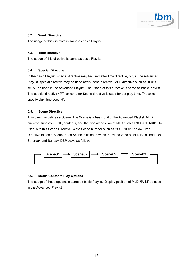

#### **6.2. Week Directive**

The usage of this directive is same as basic Playlist.

#### **6.3. Time Directive**

The usage of this directive is same as basic Playlist.

#### **6.4. Special Directive**

In the basic Playlist, special directive may be used after time directive, but, in the Advanced Playlist, special directive may be used after Scene directive. MLD directive such as <F01> **MUST** be used in the Advanced Playlist. The usage of this directive is same as basic Playlist. The special directive <PT:xxxxx> after Scene directive is used for set play time. The xxxxx specify play time(second).

#### **6.5. Scene Directive**

This directive defines a Scene. The Scene is a basic unit of the Advanced Playlist. MLD directive such as <F01>, contents, and the display position of MLD such as "008:01" **MUST** be used with this Scene Directive. Write Scene number such as ":SCENE01" below Time Directive to use a Scene. Each Scene is finished when the video zone of MLD is finished. On Saturday and Sunday, DSP plays as follows.



#### **6.6. Media Contents Play Options**

The usage of these options is same as basic Playlist. Display position of MLD **MUST** be used in the Advanced Playlist.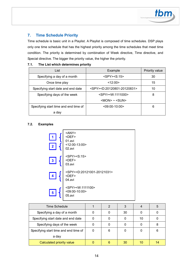#### **7. Time Schedule Priority**

Time schedule is basic unit in a Playlist. A Playlist is composed of time schedules. DSP plays only one time schedule that has the highest priority among the time schedules that meet time condition. The priority is determined by combination of Week directive, Time directive, and Special directive. The bigger the priority value, the higher the priority.

| List                                  | Example                                                | Priority value |
|---------------------------------------|--------------------------------------------------------|----------------|
| Specifying a day of a month           | $<$ SPY $>$ $<$ S:15 $>$                               | 30             |
| Once time play                        | <12:00>                                                | 15             |
| Specifying start date and end date    | <spy><d:20120801-20120831></d:20120801-20120831></spy> | 10             |
| Specifying days of the week           | <spy><w:1111000></w:1111000></spy>                     | 8              |
|                                       | $ MON> \sim$ $ M>$                                     |                |
| Specifying start time and end time of | $<$ 09:00-10:00 $>$                                    | 6              |
| a day                                 |                                                        |                |

#### **7.1. The List which determines priority**

#### **7.2. Examples**



| <b>Time Schedule</b>                  |   | 3  |    | 5  |
|---------------------------------------|---|----|----|----|
| Specifying a day of a month           |   | 30 |    |    |
| Specifying start date and end date    |   |    | 10 |    |
| Specifying days of the week           |   |    |    |    |
| Specifying start time and end time of | 6 |    |    | 6  |
| a day                                 |   |    |    |    |
| Calculated priority value             |   | 30 |    | 14 |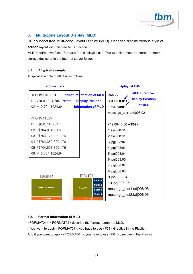

#### **8. Multi-Zone Layout Display (MLD)**

DSP support free Multi-Zone Layout Display (MLD). User can display various style of screen layout with this free MLD function.

MLD requires two files, "format.txt" and "playlist.txt". This two files must be stored in internal storage device or in the Internet server folder.

#### **8.1. A typical example**

A typical example of MLD is as follows.



#### **8.2. Format Information of MLD**

<FORMAT01>, <FORMAT02> describe the format number of MLD. If you want to apply <FORMAT01>, you have to use <F01> directive in the Playlist. And if you want to apply <FORMAT01>, you have to use <F01> directive in the Playlist.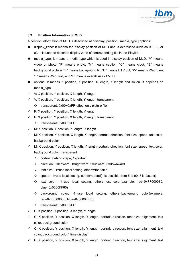#### **8.3. Position Information of MLD**

A position information of MLD is described as "display\_position | media\_type | options".

- display zone: It means the display position of MLD and is expressed such as 01, 02, or 03. It is used to describe display zone of corresponding file in the Playlist.
- media type: It means a media type which is used in display position of MLD. "V" means video or photo, "P" means photo, "M" means caption, "C" means clock, "B" means background picture, "F" means background fill, "D" means DTV out, "W" means Web View, "T" means Web Text, and "S" means overall size of MLD.
- options: It means X position, Y position, X length, Y length and so on. It depends on media\_type.
- V: X position, Y position, X length, Y length
- V: X position, Y position, X length, Y length, transparent
	- $\div$  transparent: 0x00~0xFF, effect only picture file
- P: X position, Y position, X length, Y length
- P: X position, Y position, X length, Y length, transparent
	- $\div$  transparent: 0x00~0xFF
- M: X position, Y position, X length, Y length
- $\checkmark$  M: X position, Y position, X length, Y length, portrait, direction, font size, speed, text color, background color
- M: X position, Y position, X length, Y length, portrait, direction, font size, speed, text color, background color, transparent
	- $\diamond$  portrait: 0=landscape, 1=portrait
	- $\Diamond$  direction: 0=leftward, 1=rightward, 2=upward, 3=downward
	- $\Diamond$  font size: -1=use local setting, others=font size
	- $\diamond$  speed: -1=use local setting, others=speed(it is possible from 5 to 99, 5 is fastest)
	- $\div$  text color: -1=use local setting, others=test color(example: red=0xFF000080, blue=0x0000FF80)
	- $\Diamond$  background color: -1=use local setting, others=background color(example: red=0xFF000080, blue=0x0000FF80)
	- $\div$  transparent: 0x00~0xFF
- $\checkmark$ C: X position, Y position, X length, Y length
- C: X position, Y position, X length, Y length, portrait, direction, font size, alignment, text color, background color
- C: X position, Y position, X length, Y length, portrait, direction, font size, alignment, text color, background color," time display"
- $\checkmark$ C: X position, Y position, X length, Y length, portrait, direction, font size, alignment, text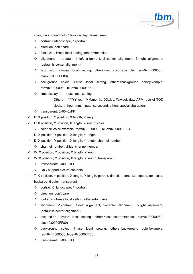

color, background color," time display", transparent

- $\diamond$  portrait: 0=landscape, 1=portrait
- $\Diamond$  direction: don't care
- $\div$  font size: -1=use local setting, others=font size
- $\Diamond$  alignment: -1=default, 1=left alignment, 2=center alignment, 3=right alignment, (default is center alignment)
- $\div$  text color: -1=use local setting, others=test color(example: red=0xFF000080, blue=0x0000FF80)
- $\Diamond$  background color: -1=use local setting, others=background color(example: red=0xFF000080, blue=0x0000FF80)
- $\diamond$  time display: -1 = use local setting,

Others = YYYY:year, MM:month, DD:day, W:week day, APM: use of TOD clock, hh:hour, mm:minute, ss:second, others special characters.

- $\div$  transparent: 0x00~0xFF
- B: X position, Y position, X length, Y length
- F: X position, Y position, X length, Y length, color
	- $\div$  color: fill color(example: red=0xFF0000FF, blue=0x0000FFFF)
- D: X position, Y position, X length, Y length
- D: X position, Y position, X length, Y length, channel number
	- $\Leftrightarrow$  channel number: virtual channel number
- W: X position, Y position, X length, Y length
- W: X position, Y position, X length, Y length, transparent
	- $\div$  transparent: 0x00~0xFF
	- $\Diamond$  Only support picture contents
- T: X position, Y position, X length, Y length, portrait, direction, font size, speed, text color, background color, transparent
	- $\Diamond$  portrait: 0=landscape, 1=portrait
	- $\Leftrightarrow$  direction: don't care
	- $\Diamond$  font size: -1=use local setting, others=font size
	- $\Diamond$  alignment: -1=default, 1=left alignment, 2=center alignment, 3=right alignment, (default is center alignment)
	- $\div$  text color: -1=use local setting, others=test color(example: red=0xFF000080, blue=0x0000FF80)
	- $\Diamond$  background color: -1=use local setting, others=background color(example: red=0xFF000080, blue=0x0000FF80)
	- $\div$  transparent: 0x00~0xFF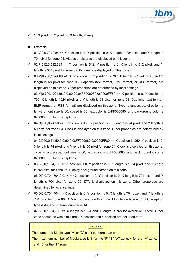

 $\checkmark$ S: X position, Y position, X length, Y length

#### **Example**

- $\checkmark$  01|V|0,0,704,704 => X position is 0, Y position is 0, X length is 704 pixel, and Y length is 704 pixel for zone 01. Videos or pictures are displayed on this zone.
- $\checkmark$  02|P|512,0,512,384 => X position is 512, Y position is 0, X length is 512 pixel, and Y length is 384 pixel for zone 02. Pictures are displayed on this zone.
- $\checkmark$  03|M|0,700,1024,68 => X position is 0, Y position is 700, X length is 1024 pixel, and Y length is 68 pixel for zone 03. Captions (text format, BMP format, or RSS format) are displayed on this zone. Other properties are determined by local settings.
- 03|M|0,700,1024,68,0,0,60,20,0xFF000080,0x0000FF80 => X position is 0, Y position is 700, X length is 1024 pixel, and Y length is 68 pixel for zone 03. Captions (text format, BMP format, or RSS format) are displayed on this zone. Type is landscape, direction is leftward, font size is 60, speed is 20, text color is 0xFF000080, and background color is 0x0000FF80 for this captions.
- $\checkmark$  04|C|950,0,74,50 => X position is 950, Y position is 0, X length is 74 pixel, and Y length is 50 pixel for zone 04. Clock is displayed on this zone. Other properties are determined by local settings.
- 04|C|950,0,74,50,0,0,60,0,0xFF000080,0x0000FF80 => X position is 950, Y position is 0, X length is 74 pixel, and Y length is 50 pixel for zone 04. Clock is displayed on this zone. Type is landscape, font size is 60, text color is 0xFF000080, and background color is 0x0000FF80 for this captions.
- $\checkmark$  05|B|0,0,1024,768 => X position is 0, Y position is 0, X length is 1024 pixel, and Y length is 768 pixel for zone 05. Display background screen on this zone.
- $\checkmark$  06|D|0,0,704,704,0,0,14 => X position is 0, Y position is 0, X length is 704 pixel, and Y length is 704 pixel for zone 06. DTV is displayed on this zone. Other properties are determined by local settings.
- $\checkmark$  06|D|0,0,704,704 => X position is 0, Y position is 0, X length is 704 pixel, and Y length is 704 pixel for zone 06. DTV is displayed on this zone. Modulation type is 8VSB, reception type is Air, and channel number is 14.
- $\checkmark$  07|S|0,0,1024,768 => X length is 1024 and Y length is 768 for overall MLD size. Other zone should be within this area. X position and Y position are not used here.